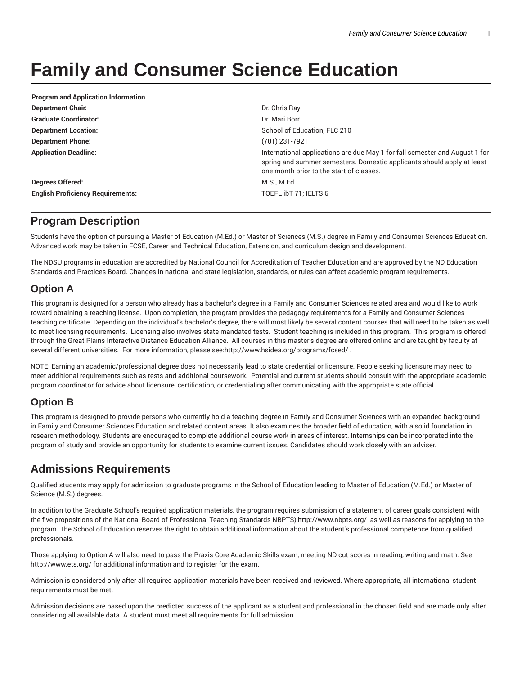# **Family and Consumer Science Education**

| Dr. Chris Ray                                                                                                                                                                                     |
|---------------------------------------------------------------------------------------------------------------------------------------------------------------------------------------------------|
| Dr. Mari Borr                                                                                                                                                                                     |
| School of Education, FLC 210                                                                                                                                                                      |
| (701) 231-7921                                                                                                                                                                                    |
| International applications are due May 1 for fall semester and August 1 for<br>spring and summer semesters. Domestic applicants should apply at least<br>one month prior to the start of classes. |
| M.S., M.Ed.                                                                                                                                                                                       |
| TOEFL ibT 71; IELTS 6                                                                                                                                                                             |
|                                                                                                                                                                                                   |

#### **Program Description**

Students have the option of pursuing a Master of Education (M.Ed.) or Master of Sciences (M.S.) degree in Family and Consumer Sciences Education. Advanced work may be taken in FCSE, Career and Technical Education, Extension, and curriculum design and development.

The NDSU programs in education are accredited by National Council for Accreditation of Teacher Education and are approved by the ND Education Standards and Practices Board. Changes in national and state legislation, standards, or rules can affect academic program requirements.

#### **Option A**

This program is designed for a person who already has a bachelor's degree in a Family and Consumer Sciences related area and would like to work toward obtaining a teaching license. Upon completion, the program provides the pedagogy requirements for a Family and Consumer Sciences teaching certificate. Depending on the individual's bachelor's degree, there will most likely be several content courses that will need to be taken as well to meet licensing requirements. Licensing also involves state mandated tests. Student teaching is included in this program. This program is offered through the Great Plains Interactive Distance Education Alliance. All courses in this master's degree are offered online and are taught by faculty at several different universities. For more information, please see:http://www.hsidea.org/programs/fcsed/ .

NOTE: Earning an academic/professional degree does not necessarily lead to state credential or licensure. People seeking licensure may need to meet additional requirements such as tests and additional coursework. Potential and current students should consult with the appropriate academic program coordinator for advice about licensure, certification, or credentialing after communicating with the appropriate state official.

#### **Option B**

This program is designed to provide persons who currently hold a teaching degree in Family and Consumer Sciences with an expanded background in Family and Consumer Sciences Education and related content areas. It also examines the broader field of education, with a solid foundation in research methodology. Students are encouraged to complete additional course work in areas of interest. Internships can be incorporated into the program of study and provide an opportunity for students to examine current issues. Candidates should work closely with an adviser.

## **Admissions Requirements**

Qualified students may apply for admission to graduate programs in the School of Education leading to Master of Education (M.Ed.) or Master of Science (M.S.) degrees.

In addition to the Graduate School's required application materials, the program requires submission of a statement of career goals consistent with the five propositions of the National Board of Professional Teaching Standards NBPTS),http://www.nbpts.org/ as well as reasons for applying to the program. The School of Education reserves the right to obtain additional information about the student's professional competence from qualified professionals.

Those applying to Option A will also need to pass the Praxis Core Academic Skills exam, meeting ND cut scores in reading, writing and math. See http://www.ets.org/ for additional information and to register for the exam.

Admission is considered only after all required application materials have been received and reviewed. Where appropriate, all international student requirements must be met.

Admission decisions are based upon the predicted success of the applicant as a student and professional in the chosen field and are made only after considering all available data. A student must meet all requirements for full admission.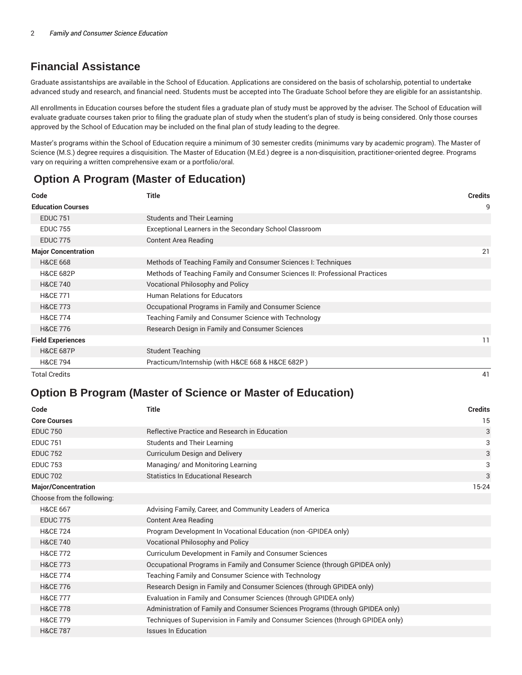# **Financial Assistance**

Graduate assistantships are available in the School of Education. Applications are considered on the basis of scholarship, potential to undertake advanced study and research, and financial need. Students must be accepted into The Graduate School before they are eligible for an assistantship.

All enrollments in Education courses before the student files a graduate plan of study must be approved by the adviser. The School of Education will evaluate graduate courses taken prior to filing the graduate plan of study when the student's plan of study is being considered. Only those courses approved by the School of Education may be included on the final plan of study leading to the degree.

Master's programs within the School of Education require a minimum of 30 semester credits (minimums vary by academic program). The Master of Science (M.S.) degree requires a disquisition. The Master of Education (M.Ed.) degree is a non-disquisition, practitioner-oriented degree. Programs vary on requiring a written comprehensive exam or a portfolio/oral.

# **Option A Program (Master of Education)**

| Code                       | <b>Title</b>                                                                | <b>Credits</b> |
|----------------------------|-----------------------------------------------------------------------------|----------------|
| <b>Education Courses</b>   |                                                                             | 9              |
| <b>EDUC 751</b>            | Students and Their Learning                                                 |                |
| <b>EDUC 755</b>            | Exceptional Learners in the Secondary School Classroom                      |                |
| <b>EDUC 775</b>            | Content Area Reading                                                        |                |
| <b>Major Concentration</b> |                                                                             | 21             |
| <b>H&amp;CE 668</b>        | Methods of Teaching Family and Consumer Sciences I: Techniques              |                |
| <b>H&amp;CE 682P</b>       | Methods of Teaching Family and Consumer Sciences II: Professional Practices |                |
| <b>H&amp;CE 740</b>        | Vocational Philosophy and Policy                                            |                |
| <b>H&amp;CE 771</b>        | <b>Human Relations for Educators</b>                                        |                |
| <b>H&amp;CE 773</b>        | Occupational Programs in Family and Consumer Science                        |                |
| <b>H&amp;CE 774</b>        | Teaching Family and Consumer Science with Technology                        |                |
| <b>H&amp;CE 776</b>        | Research Design in Family and Consumer Sciences                             |                |
| <b>Field Experiences</b>   |                                                                             | 11             |
| <b>H&amp;CE 687P</b>       | <b>Student Teaching</b>                                                     |                |
| <b>H&amp;CE 794</b>        | Practicum/Internship (with H&CE 668 & H&CE 682P)                            |                |

Total Credits 41

## **Option B Program (Master of Science or Master of Education)**

| Code                       | <b>Title</b>                                                                    | <b>Credits</b> |
|----------------------------|---------------------------------------------------------------------------------|----------------|
| <b>Core Courses</b>        |                                                                                 | 15             |
| <b>EDUC 750</b>            | Reflective Practice and Research in Education                                   | 3              |
| <b>EDUC 751</b>            | <b>Students and Their Learning</b>                                              | 3              |
| <b>EDUC 752</b>            | Curriculum Design and Delivery                                                  | 3              |
| <b>EDUC 753</b>            | Managing/ and Monitoring Learning                                               | 3              |
| <b>EDUC 702</b>            | <b>Statistics In Educational Research</b>                                       | 3              |
| <b>Major/Concentration</b> |                                                                                 | 15-24          |
| Choose from the following: |                                                                                 |                |
| <b>H&amp;CE 667</b>        | Advising Family, Career, and Community Leaders of America                       |                |
| <b>EDUC 775</b>            | Content Area Reading                                                            |                |
| <b>H&amp;CE 724</b>        | Program Development In Vocational Education (non-GPIDEA only)                   |                |
| <b>H&amp;CE 740</b>        | Vocational Philosophy and Policy                                                |                |
| <b>H&amp;CE 772</b>        | Curriculum Development in Family and Consumer Sciences                          |                |
| <b>H&amp;CE 773</b>        | Occupational Programs in Family and Consumer Science (through GPIDEA only)      |                |
| <b>H&amp;CE 774</b>        | Teaching Family and Consumer Science with Technology                            |                |
| <b>H&amp;CE 776</b>        | Research Design in Family and Consumer Sciences (through GPIDEA only)           |                |
| <b>H&amp;CE 777</b>        | Evaluation in Family and Consumer Sciences (through GPIDEA only)                |                |
| <b>H&amp;CE 778</b>        | Administration of Family and Consumer Sciences Programs (through GPIDEA only)   |                |
| <b>H&amp;CE 779</b>        | Techniques of Supervision in Family and Consumer Sciences (through GPIDEA only) |                |
| <b>H&amp;CE 787</b>        | <b>Issues In Education</b>                                                      |                |